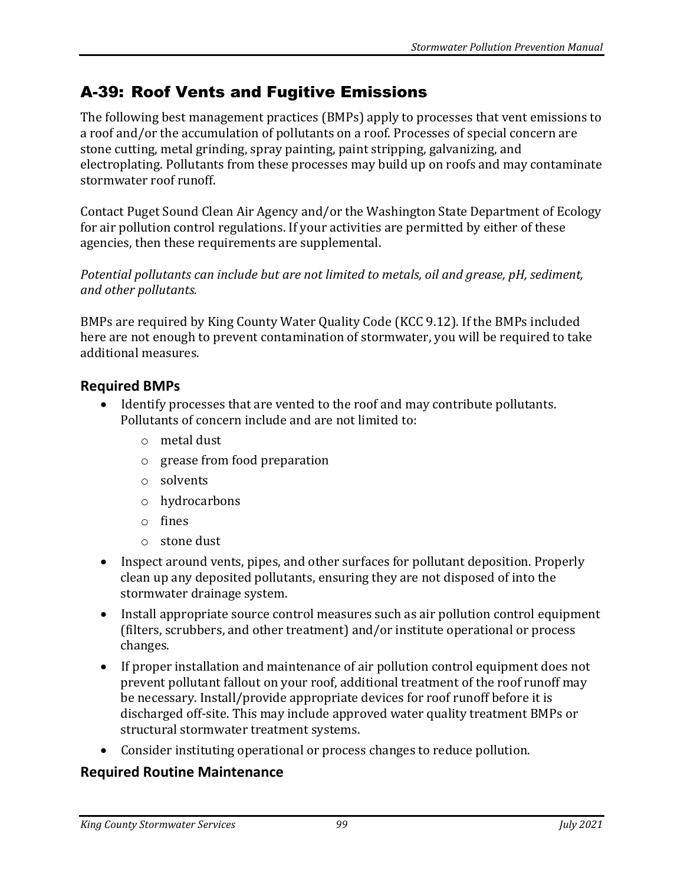## A-39: Roof Vents and Fugitive Emissions

The following best management practices (BMPs) apply to processes that vent emissions to a roof and/or the accumulation of pollutants on a roof. Processes of special concern are stone cutting, metal grinding, spray painting, paint stripping, galvanizing, and electroplating. Pollutants from these processes may build up on roofs and may contaminate stormwater roof runoff.

Contact Puget Sound Clean Air Agency and/or the Washington State Department of Ecology for air pollution control regulations. If your activities are permitted by either of these agencies, then these requirements are supplemental.

*Potential pollutants can include but are not limited to metals, oil and grease, pH, sediment, and other pollutants.*

BMPs are required by King County Water Quality Code (KCC 9.12). If the BMPs included here are not enough to prevent contamination of stormwater, you will be required to take additional measures.

## **Required BMPs**

- Identify processes that are vented to the roof and may contribute pollutants. Pollutants of concern include and are not limited to:
	- o metal dust
	- o grease from food preparation
	- o solvents
	- o hydrocarbons
	- o fines
	- o stone dust
- Inspect around vents, pipes, and other surfaces for pollutant deposition. Properly clean up any deposited pollutants, ensuring they are not disposed of into the stormwater drainage system.
- Install appropriate source control measures such as air pollution control equipment (filters, scrubbers, and other treatment) and/or institute operational or process changes.
- If proper installation and maintenance of air pollution control equipment does not prevent pollutant fallout on your roof, additional treatment of the roof runoff may be necessary. Install/provide appropriate devices for roof runoff before it is discharged off-site. This may include approved water quality treatment BMPs or structural stormwater treatment systems.
- Consider instituting operational or process changes to reduce pollution.

## **Required Routine Maintenance**